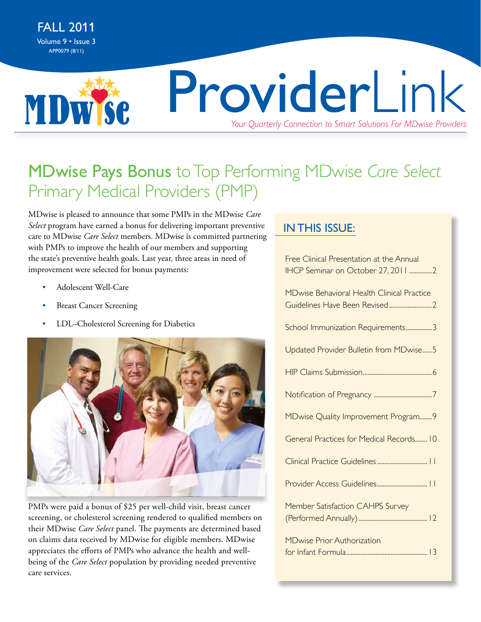**MDWSC** 

# ProviderLink *Your Quarterly Connection to Smart Solutions For MDwise Providers*

### MDwise Pays Bonus to Top Performing MDwise *Care Select* Primary Medical Providers (PMP)

MDwise is pleased to announce that some PMPs in the MDwise *Care Select* program have earned a bonus for delivering important preventive care to MDwise *Care Select* members. MDwise is committed partnering with PMPs to improve the health of our members and supporting the state's preventive health goals. Last year, three areas in need of improvement were selected for bonus payments:

- Adolescent Well-Care
- **Breast Cancer Screening**
- LDL-Cholesterol Screening for Diabetics



PMPs were paid a bonus of \$25 per well-child visit, breast cancer screening, or cholesterol screening rendered to qualified members on their MDwise *Care Select* panel. The payments are determined based on claims data received by MDwise for eligible members. MDwise appreciates the efforts of PMPs who advance the health and wellbeing of the *Care Select* population by providing needed preventive care services.

### In this issue: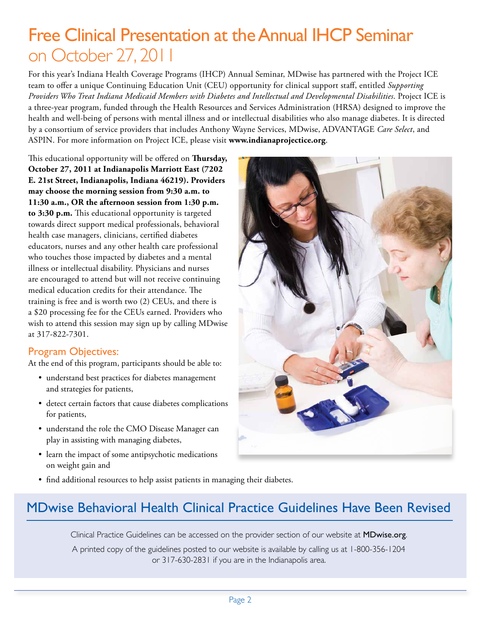### Free Clinical Presentation at the Annual IHCP Seminar on October 27, 2011

For this year's Indiana Health Coverage Programs (IHCP) Annual Seminar, MDwise has partnered with the Project ICE team to offer a unique Continuing Education Unit (CEU) opportunity for clinical support staff, entitled *Supporting Providers Who Treat Indiana Medicaid Members with Diabetes and Intellectual and Developmental Disabilities*. Project ICE is a three-year program, funded through the Health Resources and Services Administration (HRSA) designed to improve the health and well-being of persons with mental illness and or intellectual disabilities who also manage diabetes. It is directed by a consortium of service providers that includes Anthony Wayne Services, MDwise, ADVANTAGE *Care Select*, and ASPIN. For more information on Project ICE, please visit **[www.indianaprojectice.org](http://www.indianaprojectice.org)**.

This educational opportunity will be offered on **Thursday, October 27, 2011 at Indianapolis Marriott East (7202 E. 21st Street, Indianapolis, Indiana 46219). Providers may choose the morning session from 9:30 a.m. to 11:30 a.m., OR the afternoon session from 1:30 p.m. to 3:30 p.m.** This educational opportunity is targeted towards direct support medical professionals, behavioral health case managers, clinicians, certified diabetes educators, nurses and any other health care professional who touches those impacted by diabetes and a mental illness or intellectual disability. Physicians and nurses are encouraged to attend but will not receive continuing medical education credits for their attendance. The training is free and is worth two (2) CEUs, and there is a \$20 processing fee for the CEUs earned. Providers who wish to attend this session may sign up by calling MDwise at 317-822-7301.

### Program Objectives:

At the end of this program, participants should be able to:

- understand best practices for diabetes management and strategies for patients,
- detect certain factors that cause diabetes complications for patients,
- understand the role the CMO Disease Manager can play in assisting with managing diabetes,
- learn the impact of some antipsychotic medications on weight gain and



• find additional resources to help assist patients in managing their diabetes.

### MDwise Behavioral Health Clinical Practice Guidelines Have Been Revised

Clinical Practice Guidelines can be accessed on the provider section of our website at **[MDwise.org](http://MDwise.org)**. A printed copy of the guidelines posted to our website is available by calling us at 1-800-356-1204 or 317-630-2831 if you are in the Indianapolis area.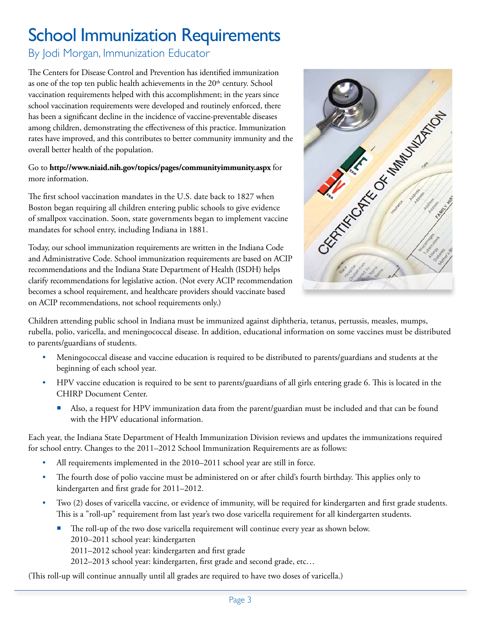# School Immunization Requirements

By Jodi Morgan, Immunization Educator

The Centers for Disease Control and Prevention has identified immunization as one of the top ten public health achievements in the  $20<sup>th</sup>$  century. School vaccination requirements helped with this accomplishment; in the years since school vaccination requirements were developed and routinely enforced, there has been a significant decline in the incidence of vaccine-preventable diseases among children, demonstrating the effectiveness of this practice. Immunization overall better health of the population.

Go to **<http://www.niaid.nih.gov/topics/pages/communityimmunity.aspx>**for more information.

The first school vaccination mandates in the U.S. date back to 1827 when Boston began requiring all children entering public schools to give evidence of smallpox vaccination. Soon, state governments began to implement vaccine mandates for school entry, including Indiana in 1881.

Today, our school immunization requirements are written in the Indiana Code and Administrative Code. School immunization requirements are based on ACIP recommendations and the Indiana State Department of Health (ISDH) helps clarify recommendations for legislative action. (Not every ACIP recommendation becomes a school requirement, and healthcare providers should vaccinate based on ACIP recommendations, not school requirements only.)



Children attending public school in Indiana must be immunized against diphtheria, tetanus, pertussis, measles, mumps, rubella, polio, varicella, and meningococcal disease. In addition, educational information on some vaccines must be distributed to parents/guardians of students.

- Meningococcal disease and vaccine education is required to be distributed to parents/guardians and students at the beginning of each school year.
- HPV vaccine education is required to be sent to parents/guardians of all girls entering grade 6. This is located in the CHIRP Document Center.
	- Also, a request for HPV immunization data from the parent/guardian must be included and that can be found with the HPV educational information.

Each year, the Indiana State Department of Health Immunization Division reviews and updates the immunizations required for school entry. Changes to the 2011–2012 School Immunization Requirements are as follows:

- All requirements implemented in the 2010–2011 school year are still in force.
- The fourth dose of polio vaccine must be administered on or after child's fourth birthday. This applies only to kindergarten and first grade for 2011–2012.
- Two (2) doses of varicella vaccine, or evidence of immunity, will be required for kindergarten and first grade students. This is a "roll-up" requirement from last year's two dose varicella requirement for all kindergarten students.
	- The roll-up of the two dose varicella requirement will continue every year as shown below. 2010–2011 school year: kindergarten
		- 2011–2012 school year: kindergarten and first grade
		- 2012–2013 school year: kindergarten, first grade and second grade, etc…

(This roll-up will continue annually until all grades are required to have two doses of varicella.)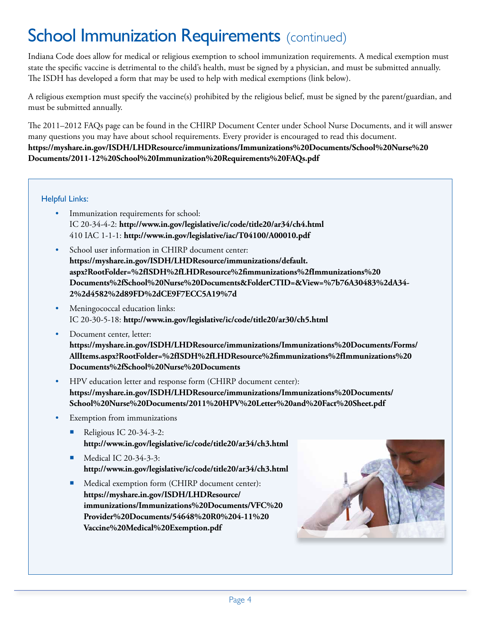# **School Immunization Requirements** (continued)

Indiana Code does allow for medical or religious exemption to school immunization requirements. A medical exemption must state the specific vaccine is detrimental to the child's health, must be signed by a physician, and must be submitted annually. The ISDH has developed a form that may be used to help with medical exemptions (link below).

A religious exemption must specify the vaccine(s) prohibited by the religious belief, must be signed by the parent/guardian, and must be submitted annually.

The 2011–2012 FAQs page can be found in the CHIRP Document Center under School Nurse Documents, and it will answer many questions you may have about school requirements. Every provider is encouraged to read this document. **[https://myshare.in.gov/ISDH/LHDResource/immunizations/Immunizations%20Documents/School%20Nurse%20](https://myshare.in.gov/ISDH/LHDResource/immunizations/Immunizations%20Documents/School%20Nurse%20Documents/2011-12%20School%20Immunization%20Requirements%20FAQs.pdf) [Documents/2011-12%20School%20Immunization%20Requirements%20FAQs.pdf](https://myshare.in.gov/ISDH/LHDResource/immunizations/Immunizations%20Documents/School%20Nurse%20Documents/2011-12%20School%20Immunization%20Requirements%20FAQs.pdf)**

Helpful Links:

- Immunization requirements for school: IC 20-34-4-2: **<http://www.in.gov/legislative/ic/code/title20/ar34/ch4.html>** 410 IAC 1-1-1: **<http://www.in.gov/legislative/iac/T04100/A00010.pdf>**
- School user information in CHIRP document center: **[https://myshare.in.gov/ISDH/LHDResource/immunizations/default.](https://myshare.in.gov/ISDH/LHDResource/immunizations/default.aspx?RootFolder=%2fISDH%2fLHDResource%2fimmunizations%2fImmunizations%20Documents%2fSchool%20Nurse%20Documents&FolderCTID=&View=%7b76A30483%2dA342%2d4582%2d89FD%2dCE9F7ECC5A19%7d) [aspx?RootFolder=%2fISDH%2fLHDResource%2fimmunizations%2fImmunizations%20](https://myshare.in.gov/ISDH/LHDResource/immunizations/default.aspx?RootFolder=%2fISDH%2fLHDResource%2fimmunizations%2fImmunizations%20Documents%2fSchool%20Nurse%20Documents&FolderCTID=&View=%7b76A30483%2dA342%2d4582%2d89FD%2dCE9F7ECC5A19%7d) [Documents%2fSchool%20Nurse%20Documents&FolderCTID=&View=%7b76A30483%2dA34-](https://myshare.in.gov/ISDH/LHDResource/immunizations/default.aspx?RootFolder=%2fISDH%2fLHDResource%2fimmunizations%2fImmunizations%20Documents%2fSchool%20Nurse%20Documents&FolderCTID=&View=%7b76A30483%2dA342%2d4582%2d89FD%2dCE9F7ECC5A19%7d) [2%2d4582%2d89FD%2dCE9F7ECC5A19%7d](https://myshare.in.gov/ISDH/LHDResource/immunizations/default.aspx?RootFolder=%2fISDH%2fLHDResource%2fimmunizations%2fImmunizations%20Documents%2fSchool%20Nurse%20Documents&FolderCTID=&View=%7b76A30483%2dA342%2d4582%2d89FD%2dCE9F7ECC5A19%7d)**
- Meningococcal education links: IC 20-30-5-18: **<http://www.in.gov/legislative/ic/code/title20/ar30/ch5.html>**
- Document center, letter: **[https://myshare.in.gov/ISDH/LHDResource/immunizations/Immunizations%20Documents/Forms/](https://myshare.in.gov/ISDH/LHDResource/immunizations/Immunizations%20Documents/Forms/AllItems.aspx?RootFolder=%2fISDH%2fLHDResource%2fimmunizations%2fImmunizations%20Documents%2fSchool%20Nurse%20Documents) [AllItems.aspx?RootFolder=%2fISDH%2fLHDResource%2fimmunizations%2fImmunizations%20](https://myshare.in.gov/ISDH/LHDResource/immunizations/Immunizations%20Documents/Forms/AllItems.aspx?RootFolder=%2fISDH%2fLHDResource%2fimmunizations%2fImmunizations%20Documents%2fSchool%20Nurse%20Documents) [Documents%2fSchool%20Nurse%20Documents](https://myshare.in.gov/ISDH/LHDResource/immunizations/Immunizations%20Documents/Forms/AllItems.aspx?RootFolder=%2fISDH%2fLHDResource%2fimmunizations%2fImmunizations%20Documents%2fSchool%20Nurse%20Documents)**
- HPV education letter and response form (CHIRP document center): **[https://myshare.in.gov/ISDH/LHDResource/immunizations/Immunizations%20Documents/](https://myshare.in.gov/ISDH/LHDResource/immunizations/Immunizations%20Documents/School%20Nurse%20Documents/2011%20HPV%20Letter%20and%20Fact%20Sheet.pdf) [School%20Nurse%20Documents/2011%20HPV%20Letter%20and%20Fact%20Sheet.pdf](https://myshare.in.gov/ISDH/LHDResource/immunizations/Immunizations%20Documents/School%20Nurse%20Documents/2011%20HPV%20Letter%20and%20Fact%20Sheet.pdf)**
- Exemption from immunizations
	- Religious IC 20-34-3-2: **<http://www.in.gov/legislative/ic/code/title20/ar34/ch3.html>**
	- Medical IC 20-34-3-3: **<http://www.in.gov/legislative/ic/code/title20/ar34/ch3.html>**
	- Medical exemption form (CHIRP document center): **[https://myshare.in.gov/ISDH/LHDResource/](https://myshare.in.gov/ISDH/LHDResource/immunizations/Immunizations%20Documents/VFC%20Provider%20Documents/54648%20R0%204-11%20Vaccine%20Medical%20Exemption.pdf) [immunizations/Immunizations%20Documents/VFC%20](https://myshare.in.gov/ISDH/LHDResource/immunizations/Immunizations%20Documents/VFC%20Provider%20Documents/54648%20R0%204-11%20Vaccine%20Medical%20Exemption.pdf) [Provider%20Documents/54648%20R0%204-11%20](https://myshare.in.gov/ISDH/LHDResource/immunizations/Immunizations%20Documents/VFC%20Provider%20Documents/54648%20R0%204-11%20Vaccine%20Medical%20Exemption.pdf) [Vaccine%20Medical%20Exemption.pdf](https://myshare.in.gov/ISDH/LHDResource/immunizations/Immunizations%20Documents/VFC%20Provider%20Documents/54648%20R0%204-11%20Vaccine%20Medical%20Exemption.pdf)**

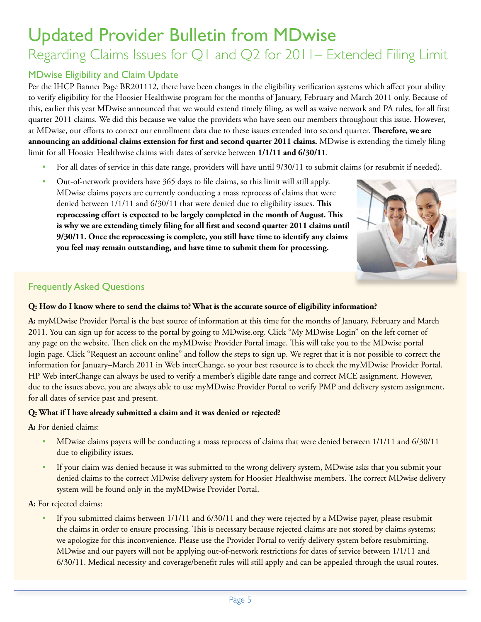# Updated Provider Bulletin from MDwise

### Regarding Claims Issues for Q1 and Q2 for 2011– Extended Filing Limit

#### MDwise Eligibility and Claim Update

Per the IHCP Banner Page BR201112, there have been changes in the eligibility verification systems which affect your ability to verify eligibility for the Hoosier Healthwise program for the months of January, February and March 2011 only. Because of this, earlier this year MDwise announced that we would extend timely filing, as well as waive network and PA rules, for all first quarter 2011 claims. We did this because we value the providers who have seen our members throughout this issue. However, at MDwise, our efforts to correct our enrollment data due to these issues extended into second quarter. **Therefore, we are announcing an additional claims extension for first and second quarter 2011 claims.** MDwise is extending the timely filing limit for all Hoosier Healthwise claims with dates of service between **1/1/11 and 6/30/11**.

- For all dates of service in this date range, providers will have until 9/30/11 to submit claims (or resubmit if needed).
- • Out-of-network providers have 365 days to file claims, so this limit will still apply. MDwise claims payers are currently conducting a mass reprocess of claims that were denied between 1/1/11 and 6/30/11 that were denied due to eligibility issues. **This reprocessing effort is expected to be largely completed in the month of August. This is why we are extending timely filing for all first and second quarter 2011 claims until 9/30/11. Once the reprocessing is complete, you still have time to identify any claims you feel may remain outstanding, and have time to submit them for processing.**



#### Frequently Asked Questions

#### **Q: How do I know where to send the claims to? What is the accurate source of eligibility information?**

**A:** myMDwise Provider Portal is the best source of information at this time for the months of January, February and March 2011. You can sign up for access to the portal by going to MDwise.org. Click "My MDwise Login" on the left corner of any page on the website. Then click on the myMDwise Provider Portal image. This will take you to the MDwise portal login page. Click "Request an account online" and follow the steps to sign up. We regret that it is not possible to correct the information for January–March 2011 in Web interChange, so your best resource is to check the myMDwise Provider Portal. HP Web interChange can always be used to verify a member's eligible date range and correct MCE assignment. However, due to the issues above, you are always able to use myMDwise Provider Portal to verify PMP and delivery system assignment, for all dates of service past and present.

#### **Q: What if I have already submitted a claim and it was denied or rejected?**

**A:** For denied claims:

- MDwise claims payers will be conducting a mass reprocess of claims that were denied between 1/1/11 and 6/30/11 due to eligibility issues.
- If your claim was denied because it was submitted to the wrong delivery system, MDwise asks that you submit your denied claims to the correct MDwise delivery system for Hoosier Healthwise members. The correct MDwise delivery system will be found only in the myMDwise Provider Portal.

**A:** For rejected claims:

If you submitted claims between 1/1/11 and 6/30/11 and they were rejected by a MDwise payer, please resubmit the claims in order to ensure processing. This is necessary because rejected claims are not stored by claims systems; we apologize for this inconvenience. Please use the Provider Portal to verify delivery system before resubmitting. MDwise and our payers will not be applying out-of-network restrictions for dates of service between 1/1/11 and 6/30/11. Medical necessity and coverage/benefit rules will still apply and can be appealed through the usual routes.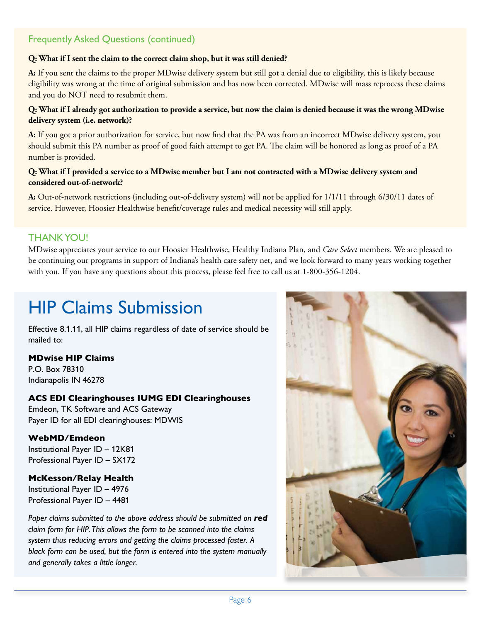### Frequently Asked Questions (continued)

#### **Q: What if I sent the claim to the correct claim shop, but it was still denied?**

**A:** If you sent the claims to the proper MDwise delivery system but still got a denial due to eligibility, this is likely because eligibility was wrong at the time of original submission and has now been corrected. MDwise will mass reprocess these claims and you do NOT need to resubmit them.

#### **Q: What if I already got authorization to provide a service, but now the claim is denied because it was the wrong MDwise delivery system (i.e. network)?**

**A:** If you got a prior authorization for service, but now find that the PA was from an incorrect MDwise delivery system, you should submit this PA number as proof of good faith attempt to get PA. The claim will be honored as long as proof of a PA number is provided.

#### **Q: What if I provided a service to a MDwise member but I am not contracted with a MDwise delivery system and considered out-of-network?**

**A:** Out-of-network restrictions (including out-of-delivery system) will not be applied for 1/1/11 through 6/30/11 dates of service. However, Hoosier Healthwise benefit/coverage rules and medical necessity will still apply.

#### THANK YOU!

MDwise appreciates your service to our Hoosier Healthwise, Healthy Indiana Plan, and *Care Select* members. We are pleased to be continuing our programs in support of Indiana's health care safety net, and we look forward to many years working together with you. If you have any questions about this process, please feel free to call us at 1-800-356-1204.

# HIP Claims Submission

Effective 8.1.11, all HIP claims regardless of date of service should be mailed to:

#### **MDwise HIP Claims**

P.O. Box 78310 Indianapolis IN 46278

#### **ACS EDI Clearinghouses IUMG EDI Clearinghouses**

Emdeon, TK Software and ACS Gateway Payer ID for all EDI clearinghouses: MDWIS

#### **WebMD/Emdeon**

Institutional Payer ID – 12K81 Professional Payer ID – SX172

#### **McKesson/Relay Health**

Institutional Payer ID – 4976 Professional Payer ID – 4481

Paper claims submitted to the above address should be submitted on **red** *claim form for HIP. This allows the form to be scanned into the claims system thus reducing errors and getting the claims processed faster. A black form can be used, but the form is entered into the system manually and generally takes a little longer.*

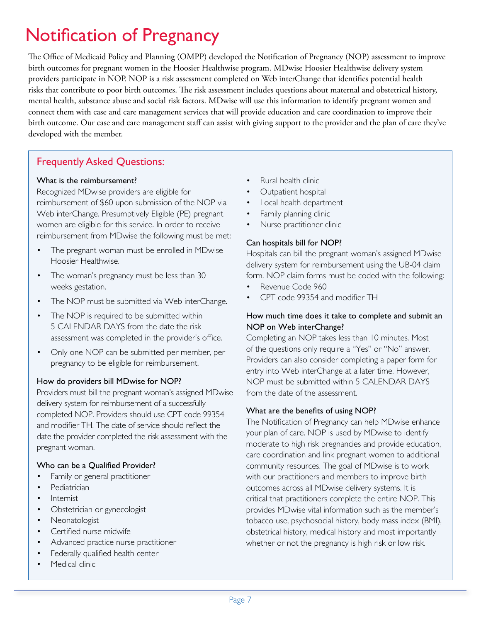# Notification of Pregnancy

The Office of Medicaid Policy and Planning (OMPP) developed the Notification of Pregnancy (NOP) assessment to improve birth outcomes for pregnant women in the Hoosier Healthwise program. MDwise Hoosier Healthwise delivery system providers participate in NOP. NOP is a risk assessment completed on Web interChange that identifies potential health risks that contribute to poor birth outcomes. The risk assessment includes questions about maternal and obstetrical history, mental health, substance abuse and social risk factors. MDwise will use this information to identify pregnant women and connect them with case and care management services that will provide education and care coordination to improve their birth outcome. Our case and care management staff can assist with giving support to the provider and the plan of care they've developed with the member.

### Frequently Asked Questions:

#### What is the reimbursement?

Recognized MDwise providers are eligible for reimbursement of \$60 upon submission of the NOP via Web interChange. Presumptively Eligible (PE) pregnant women are eligible for this service. In order to receive reimbursement from MDwise the following must be met:

- The pregnant woman must be enrolled in MDwise Hoosier Healthwise.
- The woman's pregnancy must be less than 30 weeks gestation.
- The NOP must be submitted via Web interChange.
- The NOP is required to be submitted within 5 CALENDAR DAYS from the date the risk assessment was completed in the provider's office.
- Only one NOP can be submitted per member, per pregnancy to be eligible for reimbursement.

#### How do providers bill MDwise for NOP?

Providers must bill the pregnant woman's assigned MDwise delivery system for reimbursement of a successfully completed NOP. Providers should use CPT code 99354 and modifier TH. The date of service should reflect the date the provider completed the risk assessment with the pregnant woman.

#### Who can be a Qualified Provider?

- Family or general practitioner
- **Pediatrician**
- Internist
- Obstetrician or gynecologist
- Neonatologist
- Certified nurse midwife
- Advanced practice nurse practitioner
- Federally qualified health center
- Medical clinic
- Rural health clinic
- Outpatient hospital
- Local health department
- Family planning clinic
- Nurse practitioner clinic

#### Can hospitals bill for NOP?

Hospitals can bill the pregnant woman's assigned MDwise delivery system for reimbursement using the UB-04 claim form. NOP claim forms must be coded with the following:

- Revenue Code 960
- CPT code 99354 and modifier TH

#### How much time does it take to complete and submit an NOP on Web interChange?

Completing an NOP takes less than 10 minutes. Most of the questions only require a "Yes" or "No" answer. Providers can also consider completing a paper form for entry into Web interChange at a later time. However, NOP must be submitted within 5 CALENDAR DAYS from the date of the assessment.

#### What are the benefits of using NOP?

The Notification of Pregnancy can help MDwise enhance your plan of care. NOP is used by MDwise to identify moderate to high risk pregnancies and provide education, care coordination and link pregnant women to additional community resources. The goal of MDwise is to work with our practitioners and members to improve birth outcomes across all MDwise delivery systems. It is critical that practitioners complete the entire NOP. This provides MDwise vital information such as the member's tobacco use, psychosocial history, body mass index (BMI), obstetrical history, medical history and most importantly whether or not the pregnancy is high risk or low risk.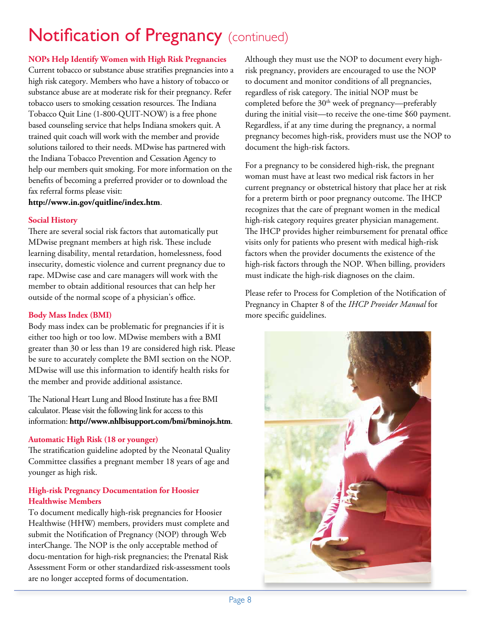# **Notification of Pregnancy** (continued)

#### **NOPs Help Identify Women with High Risk Pregnancies**

Current tobacco or substance abuse stratifies pregnancies into a high risk category. Members who have a history of tobacco or substance abuse are at moderate risk for their pregnancy. Refer tobacco users to smoking cessation resources. The Indiana Tobacco Quit Line (1-800-QUIT-NOW) is a free phone based counseling service that helps Indiana smokers quit. A trained quit coach will work with the member and provide solutions tailored to their needs. MDwise has partnered with the Indiana Tobacco Prevention and Cessation Agency to help our members quit smoking. For more information on the benefits of becoming a preferred provider or to download the fax referral forms please visit:

**<http://www.in.gov/quitline/index.htm>**.

#### **Social History**

There are several social risk factors that automatically put MDwise pregnant members at high risk. These include learning disability, mental retardation, homelessness, food insecurity, domestic violence and current pregnancy due to rape. MDwise case and care managers will work with the member to obtain additional resources that can help her outside of the normal scope of a physician's office.

#### **Body Mass Index (BMI)**

Body mass index can be problematic for pregnancies if it is either too high or too low. MDwise members with a BMI greater than 30 or less than 19 are considered high risk. Please be sure to accurately complete the BMI section on the NOP. MDwise will use this information to identify health risks for the member and provide additional assistance.

The National Heart Lung and Blood Institute has a free BMI calculator. Please visit the following link for access to this information: **<http://www.nhlbisupport.com/bmi/bminojs.htm>**.

#### **Automatic High Risk (18 or younger)**

The stratification guideline adopted by the Neonatal Quality Committee classifies a pregnant member 18 years of age and younger as high risk.

#### **High-risk Pregnancy Documentation for Hoosier Healthwise Members**

To document medically high-risk pregnancies for Hoosier Healthwise (HHW) members, providers must complete and submit the Notification of Pregnancy (NOP) through Web interChange. The NOP is the only acceptable method of docu-mentation for high-risk pregnancies; the Prenatal Risk Assessment Form or other standardized risk-assessment tools are no longer accepted forms of documentation.

Although they must use the NOP to document every highrisk pregnancy, providers are encouraged to use the NOP to document and monitor conditions of all pregnancies, regardless of risk category. The initial NOP must be completed before the 30<sup>th</sup> week of pregnancy—preferably during the initial visit—to receive the one-time \$60 payment. Regardless, if at any time during the pregnancy, a normal pregnancy becomes high-risk, providers must use the NOP to document the high-risk factors.

For a pregnancy to be considered high-risk, the pregnant woman must have at least two medical risk factors in her current pregnancy or obstetrical history that place her at risk for a preterm birth or poor pregnancy outcome. The IHCP recognizes that the care of pregnant women in the medical high-risk category requires greater physician management. The IHCP provides higher reimbursement for prenatal office visits only for patients who present with medical high-risk factors when the provider documents the existence of the high-risk factors through the NOP. When billing, providers must indicate the high-risk diagnoses on the claim.

Please refer to Process for Completion of the Notification of Pregnancy in Chapter 8 of the *IHCP Provider Manual* for more specific guidelines.

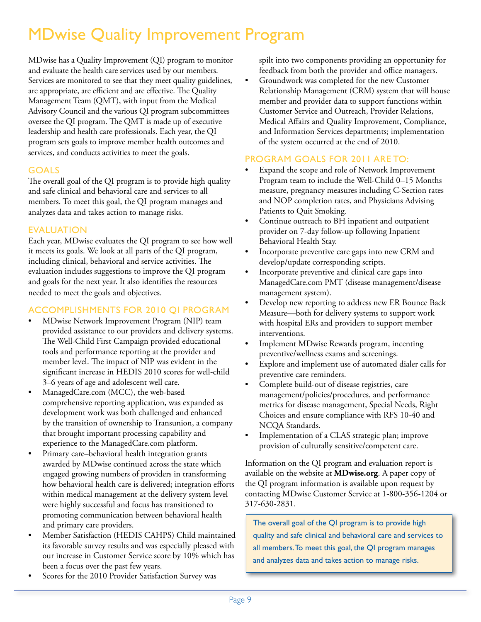### MDwise Quality Improvement Program

MDwise has a Quality Improvement (QI) program to monitor and evaluate the health care services used by our members. Services are monitored to see that they meet quality guidelines, are appropriate, are efficient and are effective. The Quality Management Team (QMT), with input from the Medical Advisory Council and the various QI program subcommittees oversee the QI program. The QMT is made up of executive leadership and health care professionals. Each year, the QI program sets goals to improve member health outcomes and services, and conducts activities to meet the goals.

#### **GOALS**

The overall goal of the QI program is to provide high quality and safe clinical and behavioral care and services to all members. To meet this goal, the QI program manages and analyzes data and takes action to manage risks.

#### Evaluation

Each year, MDwise evaluates the QI program to see how well it meets its goals. We look at all parts of the QI program, including clinical, behavioral and service activities. The evaluation includes suggestions to improve the QI program and goals for the next year. It also identifies the resources needed to meet the goals and objectives.

#### Accomplishments for 2010 QI Program

- MDwise Network Improvement Program (NIP) team provided assistance to our providers and delivery systems. The Well-Child First Campaign provided educational tools and performance reporting at the provider and member level. The impact of NIP was evident in the significant increase in HEDIS 2010 scores for well-child 3–6 years of age and adolescent well care.
- ManagedCare.com (MCC), the web-based comprehensive reporting application, was expanded as development work was both challenged and enhanced by the transition of ownership to Transunion, a company that brought important processing capability and experience to the ManagedCare.com platform.
- Primary care–behavioral health integration grants awarded by MDwise continued across the state which engaged growing numbers of providers in transforming how behavioral health care is delivered; integration efforts within medical management at the delivery system level were highly successful and focus has transitioned to promoting communication between behavioral health and primary care providers.
- Member Satisfaction (HEDIS CAHPS) Child maintained its favorable survey results and was especially pleased with our increase in Customer Service score by 10% which has been a focus over the past few years.
- Scores for the 2010 Provider Satisfaction Survey was

spilt into two components providing an opportunity for feedback from both the provider and office managers.

Groundwork was completed for the new Customer Relationship Management (CRM) system that will house member and provider data to support functions within Customer Service and Outreach, Provider Relations, Medical Affairs and Quality Improvement, Compliance, and Information Services departments; implementation of the system occurred at the end of 2010.

#### Program Goals for 2011 are to:

- Expand the scope and role of Network Improvement Program team to include the Well-Child 0–15 Months measure, pregnancy measures including C-Section rates and NOP completion rates, and Physicians Advising Patients to Quit Smoking.
- Continue outreach to BH inpatient and outpatient provider on 7-day follow-up following Inpatient Behavioral Health Stay.
- Incorporate preventive care gaps into new CRM and develop/update corresponding scripts.
- Incorporate preventive and clinical care gaps into ManagedCare.com PMT (disease management/disease management system).
- Develop new reporting to address new ER Bounce Back Measure—both for delivery systems to support work with hospital ERs and providers to support member interventions.
- Implement MDwise Rewards program, incenting preventive/wellness exams and screenings.
- Explore and implement use of automated dialer calls for preventive care reminders.
- Complete build-out of disease registries, care management/policies/procedures, and performance metrics for disease management, Special Needs, Right Choices and ensure compliance with RFS 10-40 and NCQA Standards.
- Implementation of a CLAS strategic plan; improve provision of culturally sensitive/competent care.

Information on the QI program and evaluation report is available on the website at **MDwise.org**. A paper copy of the QI program information is available upon request by contacting MDwise Customer Service at 1-800-356-1204 or 317-630-2831.

The overall goal of the QI program is to provide high quality and safe clinical and behavioral care and services to all members. To meet this goal, the QI program manages and analyzes data and takes action to manage risks.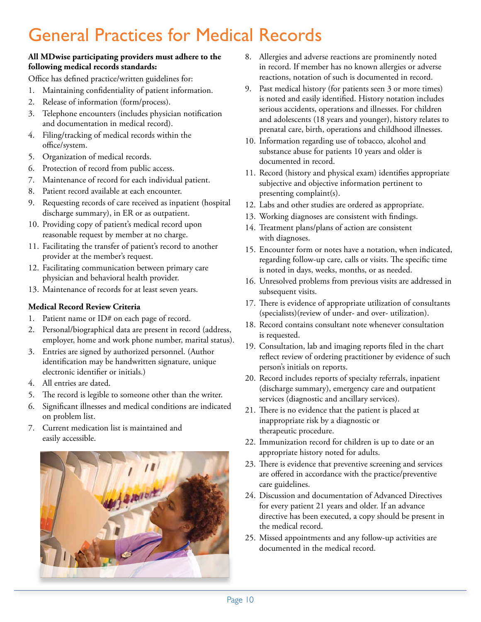## General Practices for Medical Records

#### **All MDwise participating providers must adhere to the following medical records standards:**

Office has defined practice/written guidelines for:

- 1. Maintaining confidentiality of patient information.
- 2. Release of information (form/process).
- 3. Telephone encounters (includes physician notification and documentation in medical record).
- 4. Filing/tracking of medical records within the office/system.
- 5. Organization of medical records.
- 6. Protection of record from public access.
- 7. Maintenance of record for each individual patient.
- 8. Patient record available at each encounter.
- 9. Requesting records of care received as inpatient (hospital discharge summary), in ER or as outpatient.
- 10. Providing copy of patient's medical record upon reasonable request by member at no charge.
- 11. Facilitating the transfer of patient's record to another provider at the member's request.
- 12. Facilitating communication between primary care physician and behavioral health provider.
- 13. Maintenance of records for at least seven years.

#### **Medical Record Review Criteria**

- 1. Patient name or ID# on each page of record.
- 2. Personal/biographical data are present in record (address, employer, home and work phone number, marital status).
- 3. Entries are signed by authorized personnel. (Author identification may be handwritten signature, unique electronic identifier or initials.)
- 4. All entries are dated.
- 5. The record is legible to someone other than the writer.
- 6. Significant illnesses and medical conditions are indicated on problem list.
- 7. Current medication list is maintained and easily accessible.



- 8. Allergies and adverse reactions are prominently noted in record. If member has no known allergies or adverse reactions, notation of such is documented in record.
- 9. Past medical history (for patients seen 3 or more times) is noted and easily identified. History notation includes serious accidents, operations and illnesses. For children and adolescents (18 years and younger), history relates to prenatal care, birth, operations and childhood illnesses.
- 10. Information regarding use of tobacco, alcohol and substance abuse for patients 10 years and older is documented in record.
- 11. Record (history and physical exam) identifies appropriate subjective and objective information pertinent to presenting complaint(s).
- 12. Labs and other studies are ordered as appropriate.
- 13. Working diagnoses are consistent with findings.
- 14. Treatment plans/plans of action are consistent with diagnoses.
- 15. Encounter form or notes have a notation, when indicated, regarding follow-up care, calls or visits. The specific time is noted in days, weeks, months, or as needed.
- 16. Unresolved problems from previous visits are addressed in subsequent visits.
- 17. There is evidence of appropriate utilization of consultants (specialists)(review of under- and over- utilization).
- 18. Record contains consultant note whenever consultation is requested.
- 19. Consultation, lab and imaging reports filed in the chart reflect review of ordering practitioner by evidence of such person's initials on reports.
- 20. Record includes reports of specialty referrals, inpatient (discharge summary), emergency care and outpatient services (diagnostic and ancillary services).
- 21. There is no evidence that the patient is placed at inappropriate risk by a diagnostic or therapeutic procedure.
- 22. Immunization record for children is up to date or an appropriate history noted for adults.
- 23. There is evidence that preventive screening and services are offered in accordance with the practice/preventive care guidelines.
- 24. Discussion and documentation of Advanced Directives for every patient 21 years and older. If an advance directive has been executed, a copy should be present in the medical record.
- 25. Missed appointments and any follow-up activities are documented in the medical record.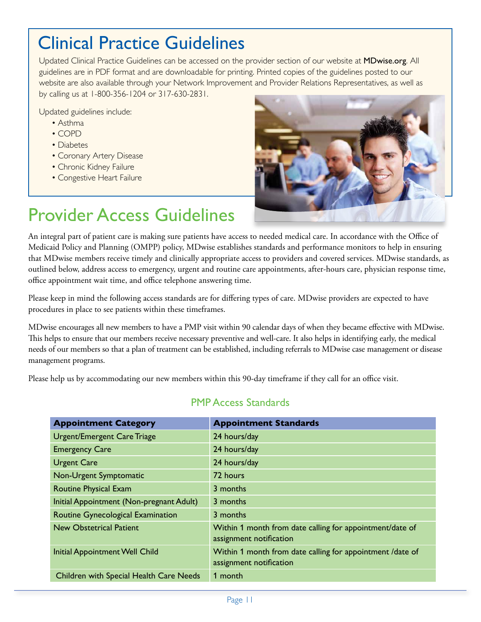### Clinical Practice Guidelines

Updated Clinical Practice Guidelines can be accessed on the provider section of our website at MD[wise.org](http://www.mdwise.org). All guidelines are in PDF format and are downloadable for printing. Printed copies of the guidelines posted to our website are also available through your Network Improvement and Provider Relations Representatives, as well as by calling us at 1-800-356-1204 or 317-630-2831.

Updated guidelines include:

- Asthma
- COPD
- Diabetes
- Coronary Artery Disease
- Chronic Kidney Failure
- Congestive Heart Failure



# Provider Access Guidelines

An integral part of patient care is making sure patients have access to needed medical care. In accordance with the Office of Medicaid Policy and Planning (OMPP) policy, MDwise establishes standards and performance monitors to help in ensuring that MDwise members receive timely and clinically appropriate access to providers and covered services. MDwise standards, as outlined below, address access to emergency, urgent and routine care appointments, after-hours care, physician response time, office appointment wait time, and office telephone answering time.

Please keep in mind the following access standards are for differing types of care. MDwise providers are expected to have procedures in place to see patients within these timeframes.

MDwise encourages all new members to have a PMP visit within 90 calendar days of when they became effective with MDwise. This helps to ensure that our members receive necessary preventive and well-care. It also helps in identifying early, the medical needs of our members so that a plan of treatment can be established, including referrals to MDwise case management or disease management programs.

Please help us by accommodating our new members within this 90-day timeframe if they call for an office visit.

| <b>Appointment Category</b>              | <b>Appointment Standards</b>                                                         |
|------------------------------------------|--------------------------------------------------------------------------------------|
| <b>Urgent/Emergent Care Triage</b>       | 24 hours/day                                                                         |
| <b>Emergency Care</b>                    | 24 hours/day                                                                         |
| <b>Urgent Care</b>                       | 24 hours/day                                                                         |
| Non-Urgent Symptomatic                   | 72 hours                                                                             |
| Routine Physical Exam                    | 3 months                                                                             |
| Initial Appointment (Non-pregnant Adult) | 3 months                                                                             |
| Routine Gynecological Examination        | 3 months                                                                             |
| <b>New Obstetrical Patient</b>           | Within 1 month from date calling for appointment/date of<br>assignment notification  |
| <b>Initial Appointment Well Child</b>    | Within 1 month from date calling for appointment /date of<br>assignment notification |
| Children with Special Health Care Needs  | 1 month                                                                              |

### PMP Access Standards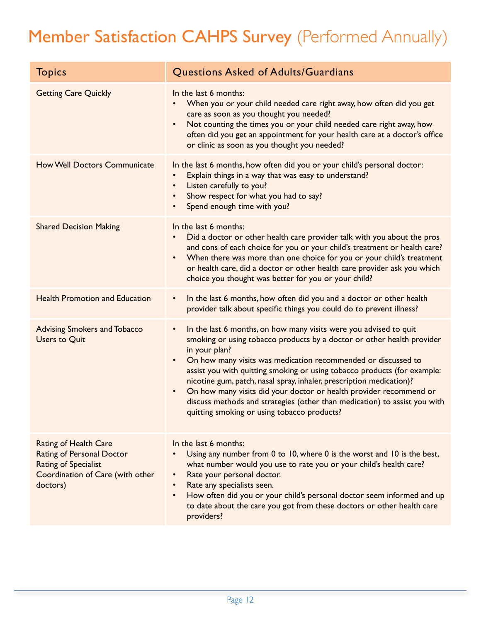# Member Satisfaction CAHPS Survey (Performed Annually)

| <b>Topics</b>                                                                                                                                   | Questions Asked of Adults/Guardians                                                                                                                                                                                                                                                                                                                                                                                                                                                                                                                                                                                        |
|-------------------------------------------------------------------------------------------------------------------------------------------------|----------------------------------------------------------------------------------------------------------------------------------------------------------------------------------------------------------------------------------------------------------------------------------------------------------------------------------------------------------------------------------------------------------------------------------------------------------------------------------------------------------------------------------------------------------------------------------------------------------------------------|
| <b>Getting Care Quickly</b>                                                                                                                     | In the last 6 months:<br>When you or your child needed care right away, how often did you get<br>care as soon as you thought you needed?<br>Not counting the times you or your child needed care right away, how<br>$\bullet$<br>often did you get an appointment for your health care at a doctor's office<br>or clinic as soon as you thought you needed?                                                                                                                                                                                                                                                                |
| <b>How Well Doctors Communicate</b>                                                                                                             | In the last 6 months, how often did you or your child's personal doctor:<br>Explain things in a way that was easy to understand?<br>Listen carefully to you?<br>$\bullet$<br>Show respect for what you had to say?<br>$\bullet$<br>Spend enough time with you?<br>$\bullet$                                                                                                                                                                                                                                                                                                                                                |
| <b>Shared Decision Making</b>                                                                                                                   | In the last 6 months:<br>Did a doctor or other health care provider talk with you about the pros<br>$\bullet$<br>and cons of each choice for you or your child's treatment or health care?<br>When there was more than one choice for you or your child's treatment<br>$\bullet$<br>or health care, did a doctor or other health care provider ask you which<br>choice you thought was better for you or your child?                                                                                                                                                                                                       |
| <b>Health Promotion and Education</b>                                                                                                           | In the last 6 months, how often did you and a doctor or other health<br>$\bullet$<br>provider talk about specific things you could do to prevent illness?                                                                                                                                                                                                                                                                                                                                                                                                                                                                  |
| <b>Advising Smokers and Tobacco</b><br><b>Users to Quit</b>                                                                                     | In the last 6 months, on how many visits were you advised to quit<br>$\bullet$<br>smoking or using tobacco products by a doctor or other health provider<br>in your plan?<br>On how many visits was medication recommended or discussed to<br>$\bullet$<br>assist you with quitting smoking or using tobacco products (for example:<br>nicotine gum, patch, nasal spray, inhaler, prescription medication)?<br>On how many visits did your doctor or health provider recommend or<br>$\bullet$<br>discuss methods and strategies (other than medication) to assist you with<br>quitting smoking or using tobacco products? |
| <b>Rating of Health Care</b><br><b>Rating of Personal Doctor</b><br><b>Rating of Specialist</b><br>Coordination of Care (with other<br>doctors) | In the last 6 months:<br>Using any number from 0 to 10, where 0 is the worst and 10 is the best,<br>what number would you use to rate you or your child's health care?<br>Rate your personal doctor.<br>$\bullet$<br>Rate any specialists seen.<br>How often did you or your child's personal doctor seem informed and up<br>$\bullet$<br>to date about the care you got from these doctors or other health care<br>providers?                                                                                                                                                                                             |